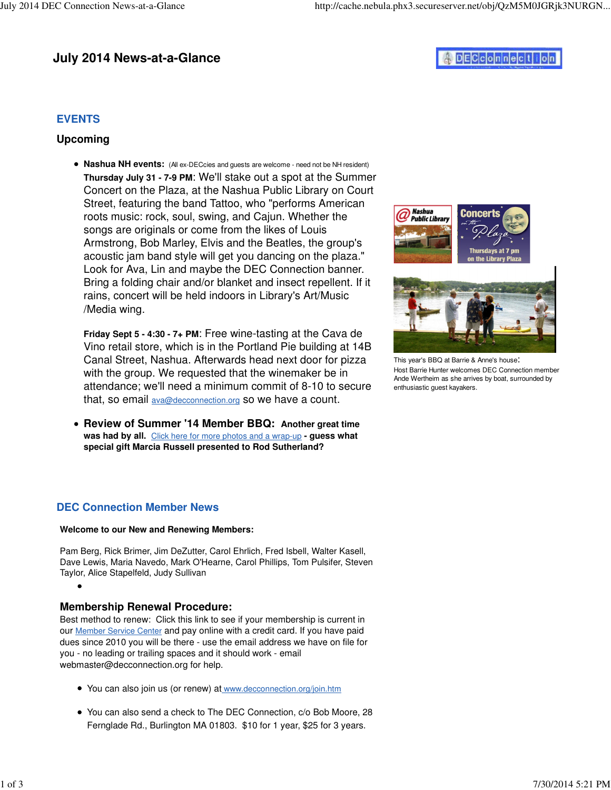# **July 2014 News-at-a-Glance**

# **DECCOnnection**

## **EVENTS**

#### **Upcoming**

**• Nashua NH events:** (All ex-DECcies and guests are welcome - need not be NH resident) **Thursday July 31 - 7-9 PM**: We'll stake out a spot at the Summer Concert on the Plaza, at the Nashua Public Library on Court Street, featuring the band Tattoo, who "performs American roots music: rock, soul, swing, and Cajun. Whether the songs are originals or come from the likes of Louis Armstrong, Bob Marley, Elvis and the Beatles, the group's acoustic jam band style will get you dancing on the plaza." Look for Ava, Lin and maybe the DEC Connection banner. Bring a folding chair and/or blanket and insect repellent. If it rains, concert will be held indoors in Library's Art/Music /Media wing.

**Friday Sept 5 - 4:30 - 7+ PM**: Free wine-tasting at the Cava de Vino retail store, which is in the Portland Pie building at 14B Canal Street, Nashua. Afterwards head next door for pizza with the group. We requested that the winemaker be in attendance; we'll need a minimum commit of 8-10 to secure that, so email [ava@decconnection.org](mailto:ava@decconnection.org) so we have a count.

**Review of Summer '14 Member BBQ: Another great time was had by all.** Click here for more photos and a wrap-up **- guess what special gift Marcia Russell presented to Rod Sutherland?**

#### **DEC Connection Member News**

#### **Welcome to our New and Renewing Members:**

Pam Berg, Rick Brimer, Jim DeZutter, Carol Ehrlich, Fred Isbell, Walter Kasell, Dave Lewis, Maria Navedo, Mark O'Hearne, Carol Phillips, Tom Pulsifer, Steven Taylor, Alice Stapelfeld, Judy Sullivan

## **Membership Renewal Procedure:**

Best method to renew: Click this link to see if your membership is current in our Member Service Center and pay online with a credit card. If you have paid dues since 2010 you will be there - use the email address we have on file for you - no leading or trailing spaces and it should work - email [webmaster@decconnection.org fo](mailto:webmaster@decconnection.org)r help.

- You can also join us (or renew) at [www.decconnection.org/join.htm](http://www.decconnection.org/join.htm)
- You can also send a check to The DEC Connection, c/o Bob Moore, 28 Fernglade Rd., Burlington MA 01803. \$10 for 1 year, \$25 for 3 years.





This year's BBQ at Barrie & Anne's house: Host Barrie Hunter welcomes DEC Connection member Ande Wertheim as she arrives by boat, surrounded by enthusiastic guest kayakers.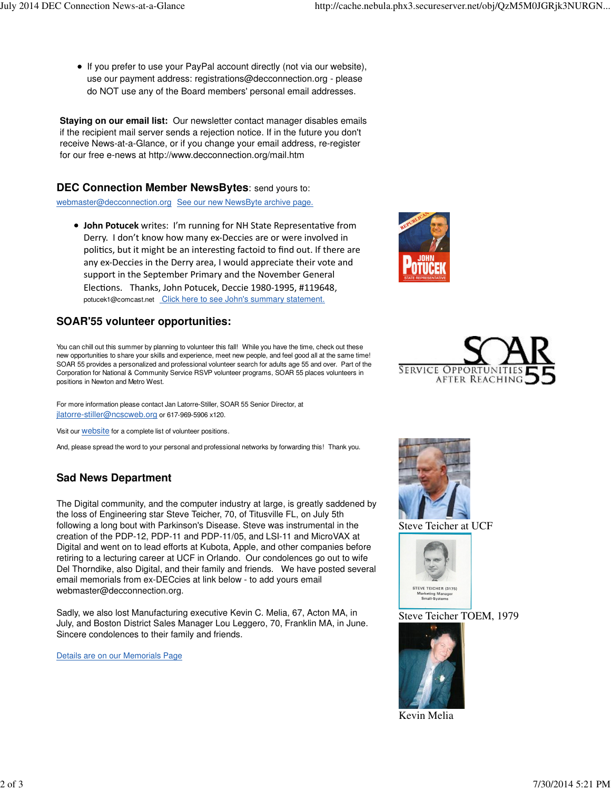If you prefer to use your PayPal account directly (not via our website), use our payment address: [registrations@decconnection.org - p](mailto:registrations@decconnection.org)lease do NOT use any of the Board members' personal email addresses.

**Staying on our email list:** Our newsletter contact manager disables emails if the recipient mail server sends a rejection notice. If in the future you don't receive News-at-a-Glance, or if you change your email address, re-register for our free e-news at<http://www.decconnection.org/mail.htm>

#### **DEC Connection Member NewsBytes**: send yours to:

[webmaster@decconnection.org](mailto:webmaster@decconnection.org) See our new NewsByte archive page.

• John Potucek writes: I'm running for NH State Representative from Derry. I don't know how many ex‐Deccies are or were involved in politics, but it might be an interesting factoid to find out. If there are any ex‐Deccies in the Derry area, I would appreciate their vote and support in the September Primary and the November General Elections. Thanks, John Potucek, Deccie 1980-1995, #119648, [potucek1@comcast.net](mailto:potucek1@comcast.net) Click here to see John's summary statement.

#### **SOAR'55 volunteer opportunities:**

You can chill out this summer by planning to volunteer this fall! While you have the time, check out these new opportunities to share your skills and experience, meet new people, and feel good all at the same time! SOAR 55 provides a personalized and professional volunteer search for adults age 55 and over. Part of the Corporation for National & Community Service RSVP volunteer programs, SOAR 55 places volunteers in positions in Newton and Metro West.

For more information please contact Jan Latorre-Stiller, SOAR 55 Senior Director, at jlatorre[-stiller@ncscweb.org](mailto:stiller@ncscweb.org) or 617-969-5906 x120.

Visit our **website** for a complete list of volunteer positions.

And, please spread the word to your personal and professional networks by forwarding this! Thank you.

# **Sad News Department**

The Digital community, and the computer industry at large, is greatly saddened by the loss of Engineering star Steve Teicher, 70, of Titusville FL, on July 5th following a long bout with Parkinson's Disease. Steve was instrumental in the creation of the PDP-12, PDP-11 and PDP-11/05, and LSI-11 and MicroVAX at Digital and went on to lead efforts at Kubota, Apple, and other companies before retiring to a lecturing career at UCF in Orlando. Our condolences go out to wife Del Thorndike, also Digital, and their family and friends. We have posted several email memorials from ex-DECcies at link below - to add yours email [webmaster@decconnection.org.](mailto:webmaster@decconnection.org)

Sadly, we also lost Manufacturing executive Kevin C. Melia, 67, Acton MA, in July, and Boston District Sales Manager Lou Leggero, 70, Franklin MA, in June. Sincere condolences to their family and friends.

Details are on our Memorials Page







Steve Teicher at UCF



Steve Teicher TOEM, 1979



Kevin Melia